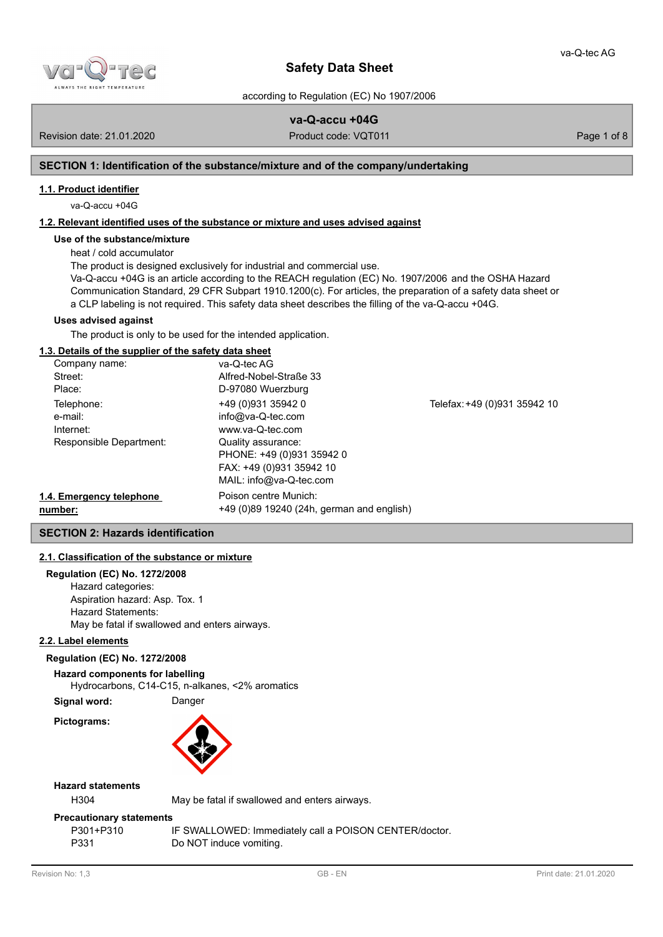

according to Regulation (EC) No 1907/2006

# **va-Q-accu +04G**

Revision date: 21.01.2020 **Product code: VQT011** Product code: VQT011 Page 1 of 8

# **SECTION 1: Identification of the substance/mixture and of the company/undertaking**

# **1.1. Product identifier**

va-Q-accu +04G

# **1.2. Relevant identified uses of the substance or mixture and uses advised against**

# **Use of the substance/mixture**

heat / cold accumulator

The product is designed exclusively for industrial and commercial use.

Va-Q-accu +04G is an article according to the REACH regulation (EC) No. 1907/2006 and the OSHA Hazard Communication Standard, 29 CFR Subpart 1910.1200(c). For articles, the preparation of a safety data sheet or a CLP labeling is not required. This safety data sheet describes the filling of the va-Q-accu +04G.

# **Uses advised against**

The product is only to be used for the intended application.

# **1.3. Details of the supplier of the safety data sheet**

| Company name:            | va-Q-tec AG                               |                              |
|--------------------------|-------------------------------------------|------------------------------|
| Street:                  | Alfred-Nobel-Straße 33                    |                              |
| Place:                   | D-97080 Wuerzburg                         |                              |
| Telephone:               | +49 (0)931 35942 0                        | Telefax: +49 (0)931 35942 10 |
| e-mail:                  | $info@va-Q-tec.com$                       |                              |
| Internet:                | www.va-Q-tec.com                          |                              |
| Responsible Department:  | Quality assurance:                        |                              |
|                          | PHONE: +49 (0)931 35942 0                 |                              |
|                          | FAX: +49 (0)931 35942 10                  |                              |
|                          | MAIL: info@va-Q-tec.com                   |                              |
| 1.4. Emergency telephone | Poison centre Munich:                     |                              |
| number:                  | +49 (0)89 19240 (24h, german and english) |                              |

# **SECTION 2: Hazards identification**

# **2.1. Classification of the substance or mixture**

# **Regulation (EC) No. 1272/2008**

Hazard categories: Aspiration hazard: Asp. Tox. 1 Hazard Statements: May be fatal if swallowed and enters airways.

# **2.2. Label elements**

# **Regulation (EC) No. 1272/2008**

**Hazard components for labelling**

Hydrocarbons, C14-C15, n-alkanes, <2% aromatics

**Signal word:** Danger

**Pictograms:**



# **Hazard statements**

H304 May be fatal if swallowed and enters airways.

# **Precautionary statements**

| P301+P310 | IF SWALLOWED: Immediately call a POISON CENTER/doctor. |
|-----------|--------------------------------------------------------|
| P331      | Do NOT induce vomiting.                                |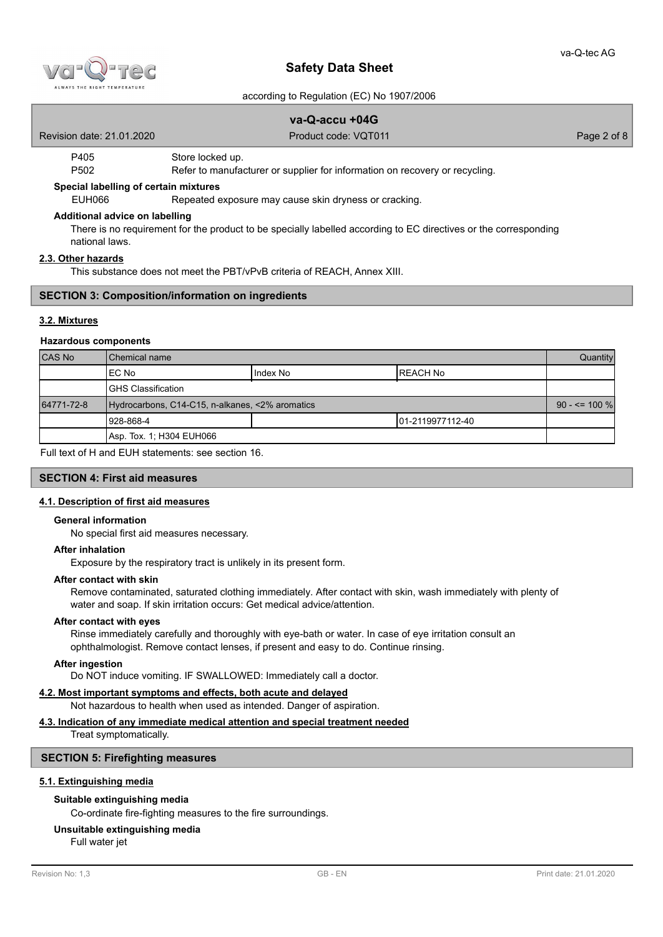

### according to Regulation (EC) No 1907/2006

|                                       | va-Q-accu +04G                                                              |             |  |
|---------------------------------------|-----------------------------------------------------------------------------|-------------|--|
| Revision date: 21.01.2020             | Product code: VQT011                                                        | Page 2 of 8 |  |
| P405                                  | Store locked up.                                                            |             |  |
| P <sub>502</sub>                      | Refer to manufacturer or supplier for information on recovery or recycling. |             |  |
| Special labelling of certain mixtures |                                                                             |             |  |
| EUH066                                | Repeated exposure may cause skin dryness or cracking.                       |             |  |
| Additional advice on labelling        |                                                                             |             |  |

There is no requirement for the product to be specially labelled according to EC directives or the corresponding national laws.

## **2.3. Other hazards**

This substance does not meet the PBT/vPvB criteria of REACH, Annex XIII.

# **SECTION 3: Composition/information on ingredients**

## **3.2. Mixtures**

#### **Hazardous components**

| <b>CAS No</b> | l Chemical name                                 |          | Quantity          |  |
|---------------|-------------------------------------------------|----------|-------------------|--|
|               | IEC No                                          | Index No | <b>REACH No</b>   |  |
|               | IGHS Classification                             |          |                   |  |
| 64771-72-8    | Hydrocarbons, C14-C15, n-alkanes, <2% aromatics |          | $90 - \le 100 \%$ |  |
|               | 1928-868-4                                      |          | 101-2119977112-40 |  |
|               | Asp. Tox. 1; H304 EUH066                        |          |                   |  |

Full text of H and EUH statements: see section 16.

## **SECTION 4: First aid measures**

### **4.1. Description of first aid measures**

#### **General information**

No special first aid measures necessary.

### **After inhalation**

Exposure by the respiratory tract is unlikely in its present form.

# **After contact with skin**

Remove contaminated, saturated clothing immediately. After contact with skin, wash immediately with plenty of water and soap. If skin irritation occurs: Get medical advice/attention.

### **After contact with eyes**

Rinse immediately carefully and thoroughly with eye-bath or water. In case of eye irritation consult an ophthalmologist. Remove contact lenses, if present and easy to do. Continue rinsing.

#### **After ingestion**

Do NOT induce vomiting. IF SWALLOWED: Immediately call a doctor.

# **4.2. Most important symptoms and effects, both acute and delayed**

Not hazardous to health when used as intended. Danger of aspiration.

## **4.3. Indication of any immediate medical attention and special treatment needed**

Treat symptomatically.

#### **SECTION 5: Firefighting measures**

### **5.1. Extinguishing media**

# **Suitable extinguishing media**

Co-ordinate fire-fighting measures to the fire surroundings.

### **Unsuitable extinguishing media**

Full water jet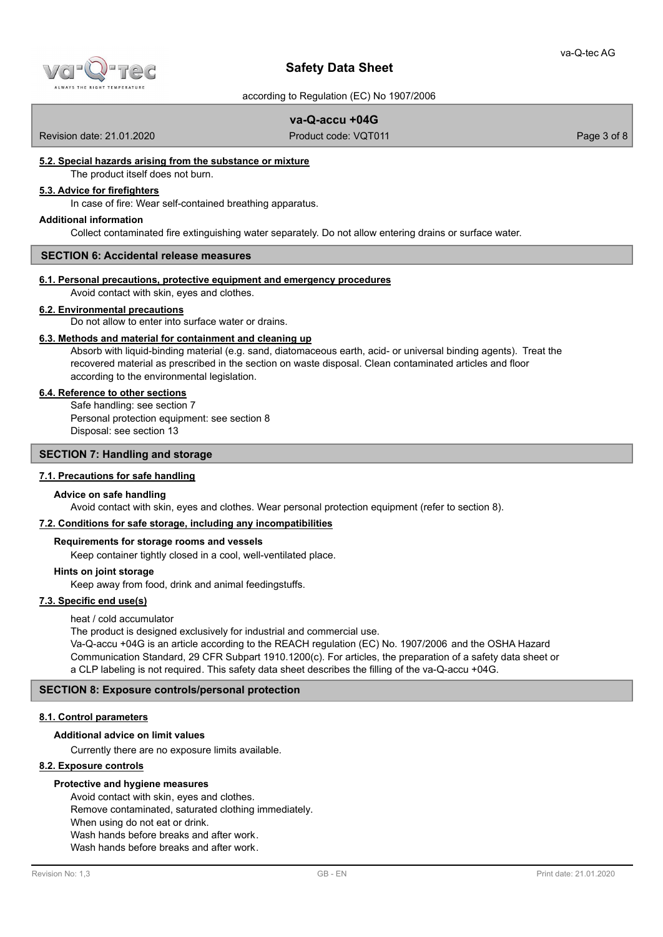

according to Regulation (EC) No 1907/2006

# **va-Q-accu +04G**

Revision date: 21.01.2020 **Product code: VQT011** Product code: VQT011 Page 3 of 8

# **5.2. Special hazards arising from the substance or mixture**

The product itself does not burn.

# **5.3. Advice for firefighters**

In case of fire: Wear self-contained breathing apparatus.

### **Additional information**

Collect contaminated fire extinguishing water separately. Do not allow entering drains or surface water.

### **SECTION 6: Accidental release measures**

### **6.1. Personal precautions, protective equipment and emergency procedures**

Avoid contact with skin, eyes and clothes.

# **6.2. Environmental precautions**

Do not allow to enter into surface water or drains.

# **6.3. Methods and material for containment and cleaning up**

Absorb with liquid-binding material (e.g. sand, diatomaceous earth, acid- or universal binding agents). Treat the recovered material as prescribed in the section on waste disposal. Clean contaminated articles and floor according to the environmental legislation.

## **6.4. Reference to other sections**

Safe handling: see section 7 Personal protection equipment: see section 8 Disposal: see section 13

# **SECTION 7: Handling and storage**

# **7.1. Precautions for safe handling**

#### **Advice on safe handling**

Avoid contact with skin, eyes and clothes. Wear personal protection equipment (refer to section 8).

# **7.2. Conditions for safe storage, including any incompatibilities**

### **Requirements for storage rooms and vessels**

Keep container tightly closed in a cool, well-ventilated place.

### **Hints on joint storage**

Keep away from food, drink and animal feedingstuffs.

# **7.3. Specific end use(s)**

## heat / cold accumulator

The product is designed exclusively for industrial and commercial use.

Va-Q-accu +04G is an article according to the REACH regulation (EC) No. 1907/2006 and the OSHA Hazard Communication Standard, 29 CFR Subpart 1910.1200(c). For articles, the preparation of a safety data sheet or a CLP labeling is not required. This safety data sheet describes the filling of the va-Q-accu +04G.

## **SECTION 8: Exposure controls/personal protection**

## **8.1. Control parameters**

# **Additional advice on limit values**

Currently there are no exposure limits available.

## **8.2. Exposure controls**

### **Protective and hygiene measures**

Avoid contact with skin, eyes and clothes. Remove contaminated, saturated clothing immediately. When using do not eat or drink. Wash hands before breaks and after work. Wash hands before breaks and after work.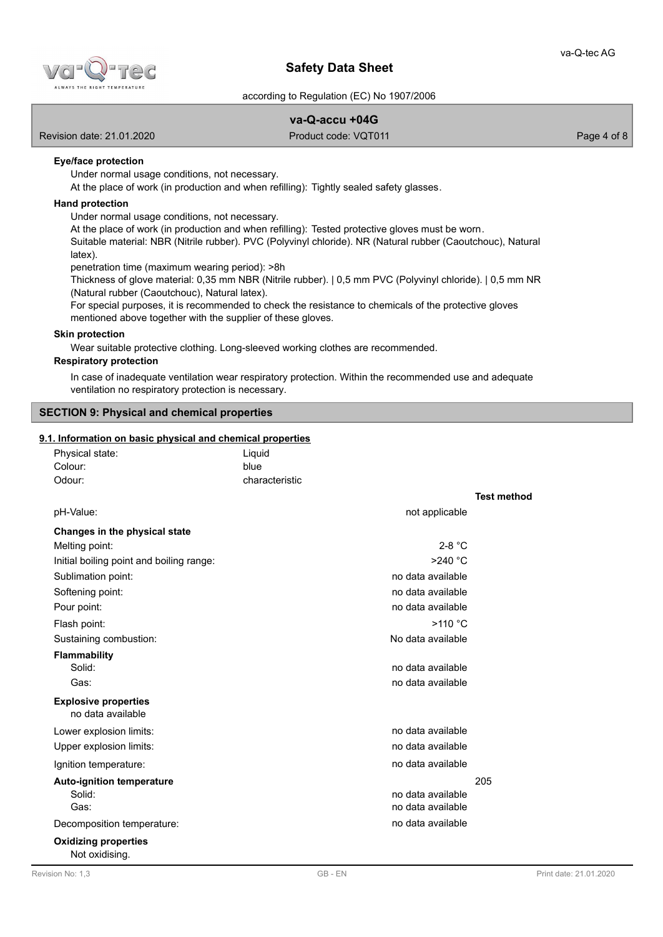

according to Regulation (EC) No 1907/2006

# **va-Q-accu +04G**

Revision date: 21.01.2020 **Product code: VQT011** Product code: VQT011 Page 4 of 8

# **Eye/face protection**

Under normal usage conditions, not necessary.

At the place of work (in production and when refilling): Tightly sealed safety glasses.

# **Hand protection**

Under normal usage conditions, not necessary.

At the place of work (in production and when refilling): Tested protective gloves must be worn.

Suitable material: NBR (Nitrile rubber). PVC (Polyvinyl chloride). NR (Natural rubber (Caoutchouc), Natural latex).

penetration time (maximum wearing period): >8h

Thickness of glove material: 0,35 mm NBR (Nitrile rubber). | 0,5 mm PVC (Polyvinyl chloride). | 0,5 mm NR (Natural rubber (Caoutchouc), Natural latex).

For special purposes, it is recommended to check the resistance to chemicals of the protective gloves mentioned above together with the supplier of these gloves.

### **Skin protection**

Wear suitable protective clothing. Long-sleeved working clothes are recommended.

## **Respiratory protection**

In case of inadequate ventilation wear respiratory protection. Within the recommended use and adequate ventilation no respiratory protection is necessary.

## **SECTION 9: Physical and chemical properties**

# **9.1. Information on basic physical and chemical properties**

| Physical state:                          | Liquid         |                   |                    |
|------------------------------------------|----------------|-------------------|--------------------|
| Colour:                                  | blue           |                   |                    |
| Odour:                                   | characteristic |                   |                    |
|                                          |                |                   | <b>Test method</b> |
| pH-Value:                                |                | not applicable    |                    |
| Changes in the physical state            |                |                   |                    |
| Melting point:                           |                | $2-8$ °C          |                    |
| Initial boiling point and boiling range: |                | $>240$ °C         |                    |
| Sublimation point:                       |                | no data available |                    |
| Softening point:                         |                | no data available |                    |
| Pour point:                              |                | no data available |                    |
| Flash point:                             |                | >110 °C           |                    |
| Sustaining combustion:                   |                | No data available |                    |
| <b>Flammability</b>                      |                |                   |                    |
| Solid:                                   |                | no data available |                    |
| Gas:                                     |                | no data available |                    |
| <b>Explosive properties</b>              |                |                   |                    |
| no data available                        |                |                   |                    |
| Lower explosion limits:                  |                | no data available |                    |
| Upper explosion limits:                  |                | no data available |                    |
| Ignition temperature:                    |                | no data available |                    |
| <b>Auto-ignition temperature</b>         |                |                   | 205                |
| Solid:                                   |                | no data available |                    |
| Gas:                                     |                | no data available |                    |
| Decomposition temperature:               |                | no data available |                    |
| <b>Oxidizing properties</b>              |                |                   |                    |
| Not oxidising.                           |                |                   |                    |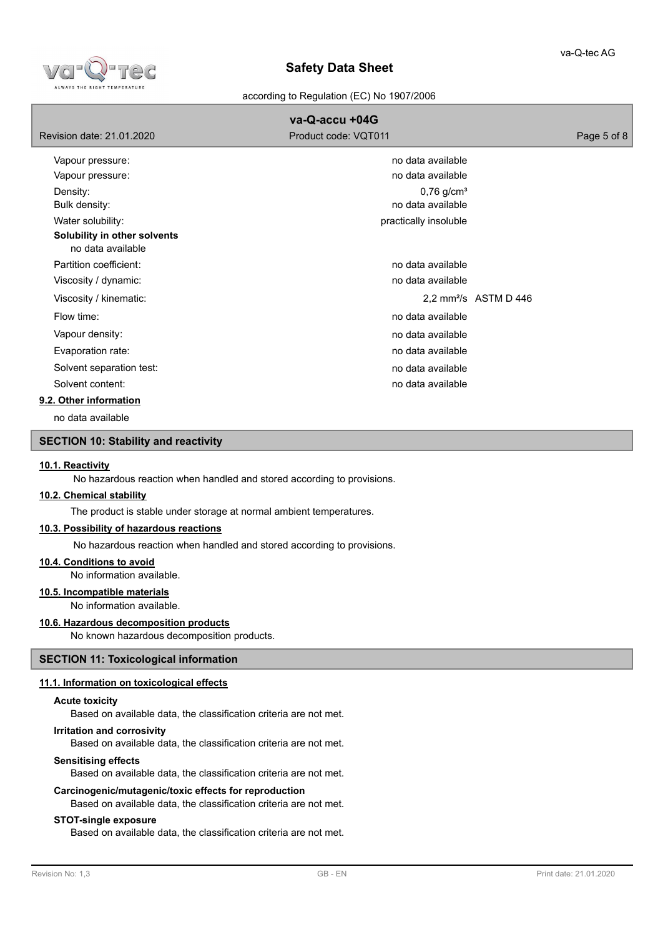

according to Regulation (EC) No 1907/2006

|                                                   | va-Q-accu +04G                                |                                   |
|---------------------------------------------------|-----------------------------------------------|-----------------------------------|
| Revision date: 21.01.2020                         | Product code: VQT011                          | Page 5 of 8                       |
| Vapour pressure:                                  | no data available                             |                                   |
| Vapour pressure:                                  | no data available                             |                                   |
| Density:<br>Bulk density:                         | $0,76$ g/cm <sup>3</sup><br>no data available |                                   |
| Water solubility:                                 | practically insoluble                         |                                   |
| Solubility in other solvents<br>no data available |                                               |                                   |
| Partition coefficient:                            | no data available                             |                                   |
| Viscosity / dynamic:                              | no data available                             |                                   |
| Viscosity / kinematic:                            |                                               | 2,2 mm <sup>2</sup> /s ASTM D 446 |
| Flow time:                                        | no data available                             |                                   |
| Vapour density:                                   | no data available                             |                                   |
| Evaporation rate:                                 | no data available                             |                                   |
| Solvent separation test:                          | no data available                             |                                   |
| Solvent content:                                  | no data available                             |                                   |
| 9.2. Other information                            |                                               |                                   |
| no data available                                 |                                               |                                   |

# **SECTION 10: Stability and reactivity**

## **10.1. Reactivity**

No hazardous reaction when handled and stored according to provisions.

### **10.2. Chemical stability**

The product is stable under storage at normal ambient temperatures.

## **10.3. Possibility of hazardous reactions**

No hazardous reaction when handled and stored according to provisions.

#### **10.4. Conditions to avoid**

No information available.

# **10.5. Incompatible materials**

No information available.

# **10.6. Hazardous decomposition products**

No known hazardous decomposition products.

# **SECTION 11: Toxicological information**

## **11.1. Information on toxicological effects**

## **Acute toxicity**

Based on available data, the classification criteria are not met.

### **Irritation and corrosivity**

Based on available data, the classification criteria are not met.

#### **Sensitising effects**

Based on available data, the classification criteria are not met.

## **Carcinogenic/mutagenic/toxic effects for reproduction**

Based on available data, the classification criteria are not met.

### **STOT-single exposure**

Based on available data, the classification criteria are not met.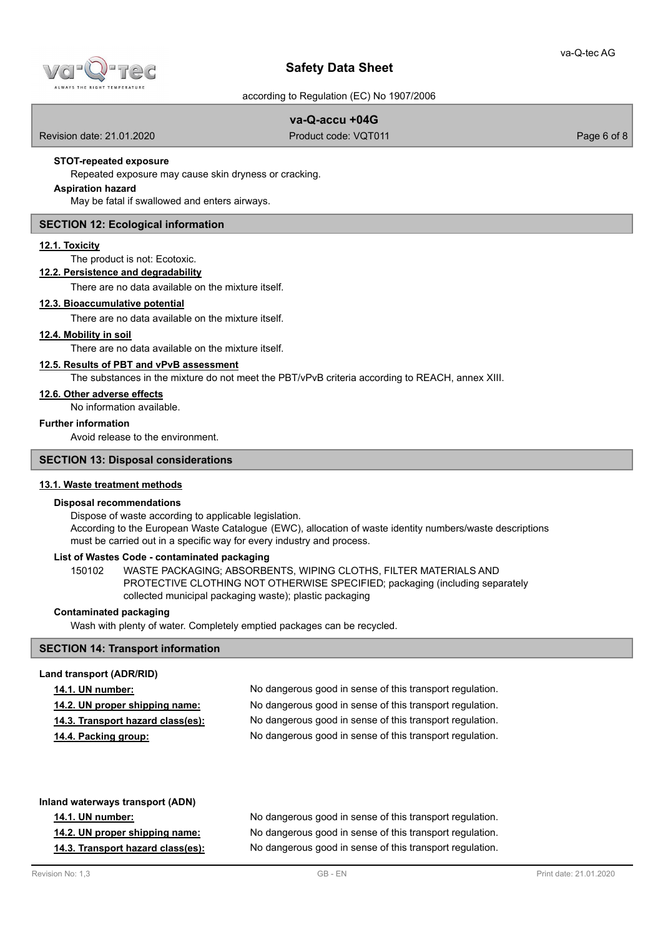

according to Regulation (EC) No 1907/2006

# **va-Q-accu +04G**

Revision date: 21.01.2020 **Product code: VQT011** Product code: VQT011 Page 6 of 8

# **STOT-repeated exposure**

Repeated exposure may cause skin dryness or cracking.

# **Aspiration hazard**

May be fatal if swallowed and enters airways.

# **SECTION 12: Ecological information**

### **12.1. Toxicity**

The product is not: Ecotoxic.

# **12.2. Persistence and degradability**

There are no data available on the mixture itself.

### **12.3. Bioaccumulative potential**

There are no data available on the mixture itself.

## **12.4. Mobility in soil**

There are no data available on the mixture itself.

# **12.5. Results of PBT and vPvB assessment**

The substances in the mixture do not meet the PBT/vPvB criteria according to REACH, annex XIII.

## **12.6. Other adverse effects**

No information available.

# **Further information**

Avoid release to the environment.

### **SECTION 13: Disposal considerations**

# **13.1. Waste treatment methods**

### **Disposal recommendations**

Dispose of waste according to applicable legislation. According to the European Waste Catalogue (EWC), allocation of waste identity numbers/waste descriptions must be carried out in a specific way for every industry and process.

# **List of Wastes Code - contaminated packaging**

WASTE PACKAGING; ABSORBENTS, WIPING CLOTHS, FILTER MATERIALS AND PROTECTIVE CLOTHING NOT OTHERWISE SPECIFIED; packaging (including separately collected municipal packaging waste); plastic packaging 150102

## **Contaminated packaging**

Wash with plenty of water. Completely emptied packages can be recycled.

# **SECTION 14: Transport information**

### **Land transport (ADR/RID)**

|  | <b>14.1. UN number:</b> |  |
|--|-------------------------|--|
|  |                         |  |

No dangerous good in sense of this transport regulation. **14.2. UN proper shipping name:** No dangerous good in sense of this transport regulation. **14.3. Transport hazard class(es):** No dangerous good in sense of this transport regulation. **14.4. Packing group:** No dangerous good in sense of this transport regulation.

**Inland waterways transport (ADN) 14.1. UN number:** No dangerous good in sense of this transport regulation. **14.2. UN proper shipping name:** No dangerous good in sense of this transport regulation. **14.3. Transport hazard class(es):** No dangerous good in sense of this transport regulation.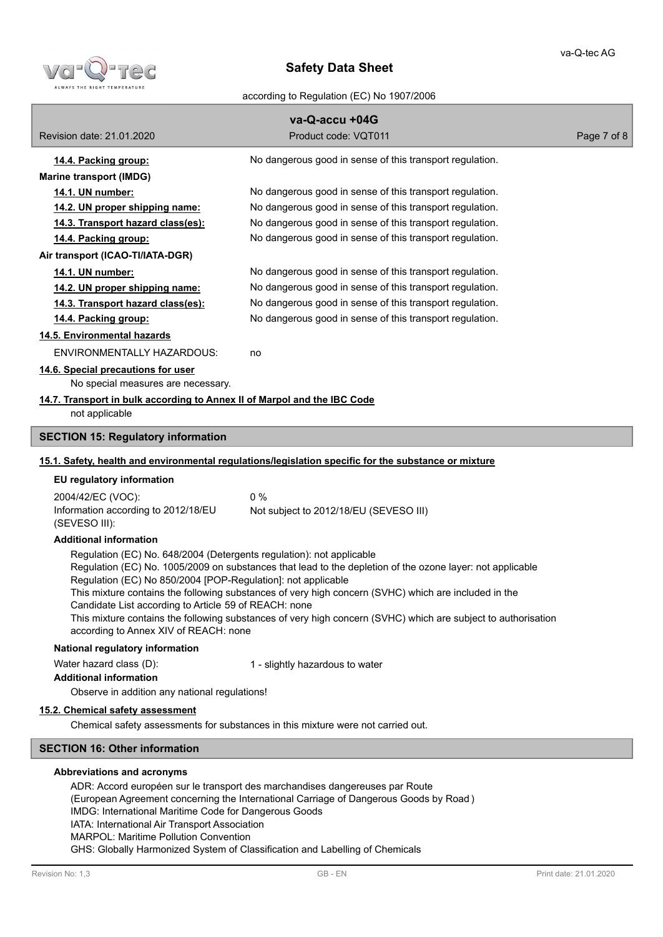

according to Regulation (EC) No 1907/2006

| va-Q-accu +04G                                                                                         |                                                                                                               |             |  |
|--------------------------------------------------------------------------------------------------------|---------------------------------------------------------------------------------------------------------------|-------------|--|
| Revision date: 21.01.2020                                                                              | Product code: VQT011                                                                                          | Page 7 of 8 |  |
| 14.4. Packing group:                                                                                   | No dangerous good in sense of this transport regulation.                                                      |             |  |
| <b>Marine transport (IMDG)</b>                                                                         |                                                                                                               |             |  |
| 14.1. UN number:                                                                                       | No dangerous good in sense of this transport regulation.                                                      |             |  |
| 14.2. UN proper shipping name:                                                                         | No dangerous good in sense of this transport regulation.                                                      |             |  |
| 14.3. Transport hazard class(es):                                                                      | No dangerous good in sense of this transport regulation.                                                      |             |  |
| 14.4. Packing group:                                                                                   | No dangerous good in sense of this transport regulation.                                                      |             |  |
| Air transport (ICAO-TI/IATA-DGR)                                                                       |                                                                                                               |             |  |
| 14.1. UN number:                                                                                       | No dangerous good in sense of this transport regulation.                                                      |             |  |
| 14.2. UN proper shipping name:                                                                         | No dangerous good in sense of this transport regulation.                                                      |             |  |
| 14.3. Transport hazard class(es):                                                                      | No dangerous good in sense of this transport regulation.                                                      |             |  |
| 14.4. Packing group:                                                                                   | No dangerous good in sense of this transport regulation.                                                      |             |  |
| 14.5. Environmental hazards                                                                            |                                                                                                               |             |  |
| ENVIRONMENTALLY HAZARDOUS:                                                                             | no                                                                                                            |             |  |
| 14.6. Special precautions for user                                                                     |                                                                                                               |             |  |
| No special measures are necessary.                                                                     |                                                                                                               |             |  |
| 14.7. Transport in bulk according to Annex II of Marpol and the IBC Code                               |                                                                                                               |             |  |
| not applicable                                                                                         |                                                                                                               |             |  |
| <b>SECTION 15: Regulatory information</b>                                                              |                                                                                                               |             |  |
|                                                                                                        | 15.1. Safety, health and environmental regulations/legislation specific for the substance or mixture          |             |  |
| EU regulatory information                                                                              |                                                                                                               |             |  |
|                                                                                                        |                                                                                                               |             |  |
| 2004/42/EC (VOC):<br>Information according to 2012/18/EU                                               | 0%                                                                                                            |             |  |
| (SEVESO III):                                                                                          | Not subject to 2012/18/EU (SEVESO III)                                                                        |             |  |
| <b>Additional information</b>                                                                          |                                                                                                               |             |  |
| Regulation (EC) No. 648/2004 (Detergents regulation): not applicable                                   |                                                                                                               |             |  |
| Regulation (EC) No 850/2004 [POP-Regulation]: not applicable                                           | Regulation (EC) No. 1005/2009 on substances that lead to the depletion of the ozone layer: not applicable     |             |  |
|                                                                                                        | This mixture contains the following substances of very high concern (SVHC) which are included in the          |             |  |
| Candidate List according to Article 59 of REACH: none                                                  |                                                                                                               |             |  |
|                                                                                                        | This mixture contains the following substances of very high concern (SVHC) which are subject to authorisation |             |  |
| according to Annex XIV of REACH: none                                                                  |                                                                                                               |             |  |
| National regulatory information                                                                        |                                                                                                               |             |  |
| Water hazard class (D):                                                                                | 1 - slightly hazardous to water                                                                               |             |  |
| <b>Additional information</b>                                                                          |                                                                                                               |             |  |
| Observe in addition any national regulations!                                                          |                                                                                                               |             |  |
| 15.2. Chemical safety assessment                                                                       |                                                                                                               |             |  |
|                                                                                                        | Chemical safety assessments for substances in this mixture were not carried out.                              |             |  |
| <b>SECTION 16: Other information</b>                                                                   |                                                                                                               |             |  |
| Abbreviations and acronyms                                                                             |                                                                                                               |             |  |
|                                                                                                        | ADR: Accord européen sur le transport des marchandises dangereuses par Route                                  |             |  |
|                                                                                                        | (European Agreement concerning the International Carriage of Dangerous Goods by Road)                         |             |  |
| IMDG: International Maritime Code for Dangerous Goods<br>IATA: International Air Transport Association |                                                                                                               |             |  |

MARPOL: Maritime Pollution Convention

GHS: Globally Harmonized System of Classification and Labelling of Chemicals